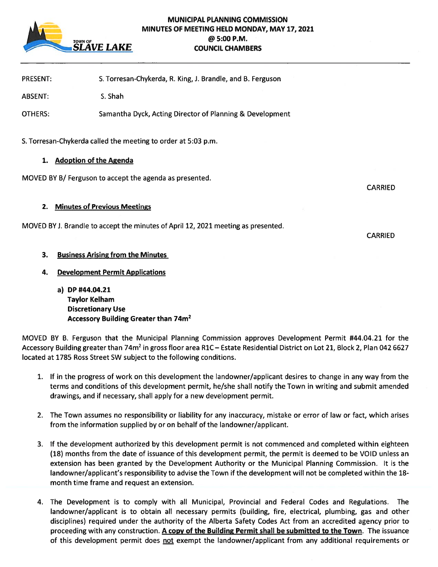

# MUNICIPAL PLANNING COMMISSION MINUTES OF MEETING HELD MONDAY, MAY 17, 2021 TOWN OF **DEAL COUNCIL CHAME**<br>SLAVE LAKE **council chame COUNCIL CHAMBERS**

PRESENT: S. Torresan-Chykerda, R. King, J. Brandle, and B. Ferguson

ABSENT: S. Shah

OTHERS: Samantha Dyck, Acting Director of Planning & Development

S. Torresan-Chykerda called the meeting to order at 5:03 p.m.

## 1. Adoption of the Agenda

MOVED BY B/Ferguson to accept the agenda as presented.

2. Minutes of Previous Meetings

MOVED BY J. Brandle to accep<sup>t</sup> the minutes of April 12, 2021 meeting as presented.

# 3. Business Arising from the Minutes

4. Development Permit Applications

a) DP #44.04.21 Taylor Kelham Discretionary Use Accessory Building Greater than 74m2

MOVED BY B. Ferguson that the Municipal Planning Commission approves Development Permit #44.04.21 for the Accessory Building greater than 74m<sup>2</sup> in gross floor area R1C – Estate Residential District on Lot 21, Block 2, Plan 042 6627 located at 1785 Ross Street SW subject to the following conditions.

- 1. If in the progress of work on this development the landowner/applicant desires to change in any way from the terms and conditions of this development permit, he/she shall notify the Town in writing and submit amended drawings, and if necessary, shall apply for <sup>a</sup> new development permit.
- 2. The Town assumes no responsibility or liability for any inaccuracy, mistake or error of law or fact, which arises from the information supplied by or on behalf of the landowner/applicant.
- 3. If the development authorized by this development permit is not commenced and completed within eighteen (18) months from the date of issuance of this development permit, the permit is deemed to be VOID unless an extension has been granted by the Development Authority or the Municipal Planning Commission. It is the landowner/applicant's responsibility to advise the Town if the development will not be completed within the 18 month time frame and reques<sup>t</sup> an extension.
- 4. The Development is to comply with all Municipal, Provincial and Federal Codes and Regulations. The landowner/applicant is to obtain all necessary permits (building, fire, electrical, plumbing, gas and other disciplines) required under the authority of the Alberta Safety Codes Act from an accredited agency prior to proceeding with any construction. A copy of the Building Permit shall be submitted to the Town. The issuance of this development permit does not exempt the landowner/applicant from any additional requirements or

CARRIED

CARRIED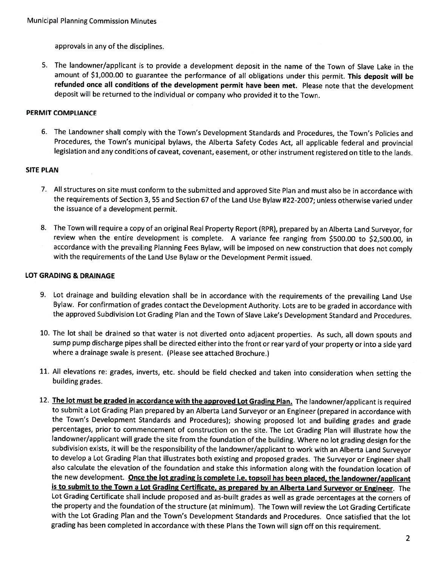approvals in any of the disciplines.

5. The landowner/applicant is to provide <sup>a</sup> development deposit in the name of the Town of Slave Lake in the amount of \$1,000.00 to guarantee the performance of all obligations under this permit. This deposit will be refunded once all conditions of the development permit have been met. Please note that the development deposit will be returned to the individual or company who provided it to the Town.

## PERMIT COMPLIANCE

6. The Landowner shall comply with the Town's Development Standards and Procedures, the Town's Policies and Procedures, the Town's municipal bylaws, the Alberta Safety Codes Act, all applicable federal and provincial legislation and any conditions of caveat, covenant, easement, or other instrument registered on title to the lands.

## SITE PLAN

- 7. All structures on site must conform to the submitted and approved Site Plan and must also be in accordance with the requirements of Section 3, <sup>55</sup> and Section <sup>67</sup> of the Land Use Bylaw #22-2007; unless otherwise varied under the issuance of <sup>a</sup> development permit.
- 8. The Town will require <sup>a</sup> copy of an original Real Property Report (RPR), prepared by an Alberta Land Surveyor, for review when the entire development is complete. <sup>A</sup> variance fee ranging from \$500.00 to \$2,500.00, in accordance with the prevailing Planning Fees Bylaw, will be imposed on new construction that does not comply with the requirements of the Land Use Bylaw or the Development Permit issued.

## LOT GRADING & DRAINAGE

- 9. Lot drainage and building elevation shall be in accordance with the requirements of the prevailing Land Use Bylaw. For confirmation of grades contact the Development Authority. Lots are to be graded in accordance with the approved Subdivision Lot Grading Plan and the Town of Slave Lake's Development Standard and Procedures.
- 10. The lot shall be drained so that water is not diverted onto adjacent properties. As such, all down spouts and sump pump discharge <sup>p</sup>ipes shall be directed either into the front or rear yard of your property or into <sup>a</sup> side yar<sup>d</sup> where a drainage swale is present. (Please see attached Brochure.)
- 11. All elevations re: grades, inverts, etc. should be field checked and taken into consideration when setting the building grades.
- 12. The lot must be graded in accordance with the approved Lot Grading Plan. The landowner/applicant is required to submit a Lot Grading Plan prepared by an Alberta Land Surveyor or an Engineer (prepared in accordance with the Town's Development Standards and Procedures); showing proposed lot and building grades and grade percentages, prior to commencement of construction on the site. The Lot Grading Plan will illustrate how the landowner/applicant will grade the site from the foundation of the building. Where no lot grading design for the subdivision exists, it will be the responsibility of the landowner/applicant to work with an Alberta Land Surveyor to develop <sup>a</sup> Lot Grading Plan that illustrates both existing and proposed grades. The Surveyor or Engineer shall also calculate the elevation of the foundation and stake this information along with the foundation location of the new development. Once the lot grading is complete i.e. topsoil has been placed, the landowner/applicant is to submit to the Town <sup>a</sup> Lot Grading Certificate, as prepared by an Alberta Land Surveyor or Engineer. The Lot Grading Certificate shall include proposed and as-built grades as well as grade percentages at the corners of the property and the foundation of the structure (at minimum). The Town will review the Lot Grading Certificate with the Lot Grading Plan and the Town's Development Standards and Procedures. Once satisfied that the lot grading has been completed in accordance with these Plans the Town will sign off on this requirement.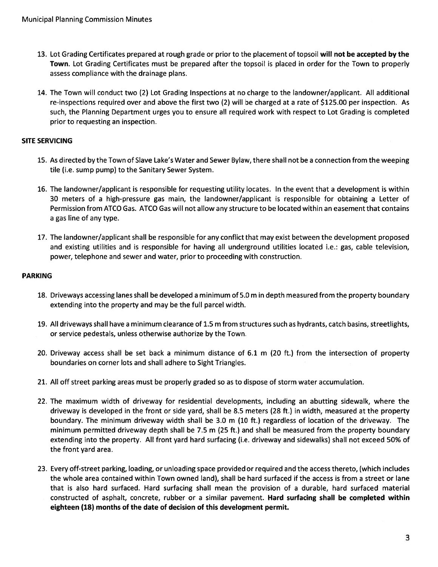- 13. Lot Grading Certificates prepared at rough grade or prior to the placement of topsoil will not be accepted by the Town. Lot Grading Certificates must be prepared after the topsoil is placed in order for the Town to properly assess compliance with the drainage plans.
- 14. The Town will conduct two (2) Lot Grading Inspections at no charge to the landowner/applicant. All additional re-inspections required over and above the first two (2) will be charged at <sup>a</sup> rate of \$125.00 per inspection. As such, the Planning Department urges you to ensure all required work with respec<sup>t</sup> to Lot Grading is completed prior to requesting an inspection.

## SITE SERVICING

- 15. As directed by the Town of Slave Lake's Water and Sewer Bylaw, there shall not be <sup>a</sup> connection from the weeping tile (i.e. sump pump) to the Sanitary Sewer System.
- 16. The landowner/applicant is responsible for requesting utility locates. In the event that <sup>a</sup> development is within 30 meters of <sup>a</sup> high-pressure gas main, the landowner/applicant is responsible for obtaining <sup>a</sup> Letter of Permission from ATCO Gas. ATCO Gas will not allow any structure to be located within an easement that contains <sup>a</sup> gas line of any type.
- 17. The landowner/applicant shall be responsible for any conflict that may exist between the development proposed and existing utilities and is responsible for having all underground utilities located i.e.: gas, cable television, power, telephone and sewer and water, prior to proceeding with construction.

## PARKING

- 18. Driveways accessing lanes shall be developed <sup>a</sup> minimum of 5.0 <sup>m</sup> in depth measured from the property boundary extending into the property and may be the full parcel width.
- 19. All driveways shall have <sup>a</sup> minimum clearance of 1.5 <sup>m</sup> from structures such as hydrants, catch basins, streetlights, or service pedestals, unless otherwise authorize by the Town.
- 20. Driveway access shall be set back <sup>a</sup> minimum distance of 6.1 <sup>m</sup> (20 ft.) from the intersection of property boundaries on corner lots and shall adhere to Sight Triangles.
- 21. All off street parking areas must be properly graded so as to dispose of storm water accumulation.
- 22. The maximum width of driveway for residential developments, including an abutting sidewalk, where the driveway is developed in the front or side yard, shall be 8.5 meters (28 ft.) in width, measured at the property boundary. The minimum driveway width shall be 3.0 <sup>m</sup> (10 ft.) regardless of location of the driveway. The minimum permitted driveway depth shall be 7.5 <sup>m</sup> (25 ft.) and shall be measured from the property boundary extending into the property. All front yard hard surfacing (i.e. driveway and sidewalks) shall not exceed 50% of the front yard area.
- 23. Every off-street parking, loading, or unloading space provided or required and the access thereto, (which includes the whole area contained within Town owned land), shall be hard surfaced if the access is from <sup>a</sup> street or lane that is also hard surfaced. Hard surfacing shall mean the provision of <sup>a</sup> durable, hard surfaced material constructed of asphalt, concrete, rubber or <sup>a</sup> similar pavement. Hard surfacing shall be completed within eighteen (18) months of the date of decision of this development permit.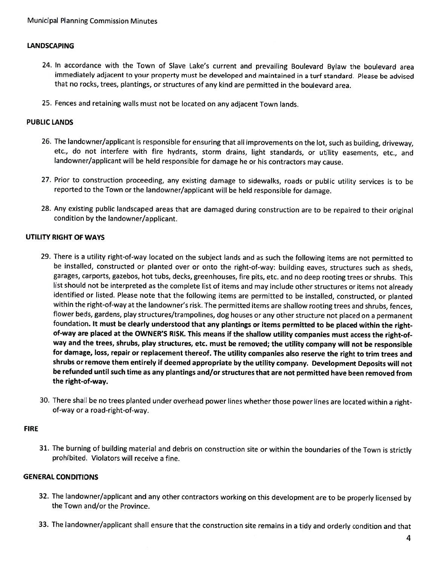## LANDSCAPING

- 24. In accordance with the Town of Slave Lake's current and prevailing Boulevard Bylaw the boulevard area immediately adjacent to your property must be developed and maintained in <sup>a</sup> turf standard. Please be advised that no rocks, trees, <sup>p</sup>lantings, or structures of any kind are permitted in the boulevard area.
- 25. Fences and retaining walls must not be located on any adjacent Town lands.

#### PUBLIC LANDS

- 26. The landowner/applicant is responsible for ensuring that all improvements on the lot, such as building, driveway, etc., do not interfere with fire hydrants, storm drains, light standards, or utility easements, etc., and landowner/applicant will be held responsible for damage he or his contractors may cause.
- 27. Prior to construction proceeding, any existing damage to sidewalks, roads or public utility services is to be reported to the Town or the landowner/applicant will be held responsible for damage.
- 28. Any existing public landscaped areas that are damaged during construction are to be repaired to their origina condition by the landowner/applicant.

## UTILITY RIGHT OF WAYS

- 29. There is a utility right-of-way located on the subject lands and as such the following items are not permitted to be installed, constructed or <sup>p</sup>lanted over or onto the right-of-way: building eaves, structures such as sheds, garages, carports, gazebos, hot tubs, decks, greenhouses, fire <sup>p</sup>its, etc. and no deep rooting trees or shrubs. This list should not be interpreted as the complete list of items and may include other structures or items not already identified or listed. Please note that the following items are permitted to be installed, constructed, or plantec within the right-of-way at the landowner's risk. The permitted items are shallow rooting trees and shrubs, fences, flower beds, gardens, <sup>p</sup>lay structures/trampolines, dog houses or any other structure not <sup>p</sup>laced on <sup>a</sup> permanent foundation. It must be clearly understood that any <sup>p</sup>lantings or items permitted to be <sup>p</sup>laced within the rightof-way are <sup>p</sup>laced at the OWNER'S RISK. This means if the shallow utility companies must access the right-ofway and the trees, shrubs, <sup>p</sup>lay structures, etc. must be removed; the utility company will not be responsible for damage, loss, repair or replacement thereof. The utility companies also reserve the right to trim trees and shrubs or remove them entirely if deemed appropriate by the utility company. Development Deposits will not be refunded until such time as any <sup>p</sup>lantings and/or structures that are not permitted have been removed from the right-of-way.
- 30. There shall be no trees <sup>p</sup>lanted under overhead power lines whether those power lines are located within <sup>a</sup> rightof-way or <sup>a</sup> road-right-of-way.

#### FIRE

31. The burning of building material and debris on construction site or within the boundaries of the Town is strictly prohibited. Violators will receive <sup>a</sup> fine.

## GENERAL CONDITIONS

- 32. The landowner/applicant and any other contractors working on this development are to be properly licensed by the Town and/or the Province.
- 33. The landowner/applicant shall ensure that the construction site remains in <sup>a</sup> tidy and orderly condition and that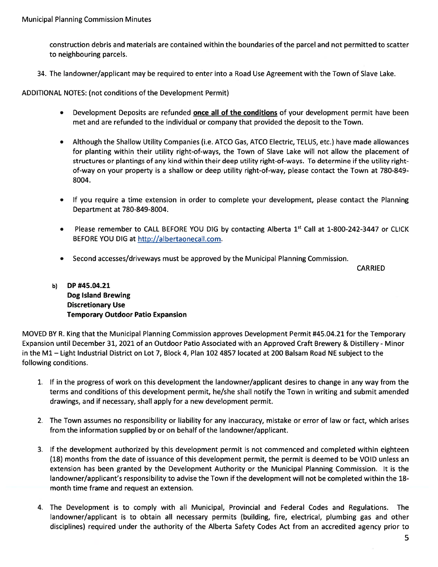construction debris and materials are contained within the boundaries of the parcel and not permitted to scatter to neighbouring parcels.

34. The landowner/applicant may be required to enter into <sup>a</sup> Road Use Agreement with the Town of Slave Lake.

ADDITIONAL NOTES: (not conditions of the Development Permit)

- •Development Deposits are refunded **once all of the conditions** of your development permit have been met and are refunded to the individual or company that provided the deposit to the Town.
- • Although the Shallow Utility Companies (i.e. ATCO Gas, ATCO Electric, TELUS, etc.) have made allowances for planting within their utility right-of-ways, the Town of Slave Lake will not allow the placement of structures or plantings of any kind within their deep utility right-of-ways. To determine if the utility rightof-way on your property is <sup>a</sup> shallow or deep utility right-of-way, please contact the Town at 780-849- 8004.
- • If you require <sup>a</sup> time extension in order to complete your development, please contact the Planning Department at 780-849-8004.
- •Please remember to CALL BEFORE YOU DIG by contacting Alberta 1st Call at 1-800-242-3447 or CLICK BEFORE YOU DIG at http://albertaonecall.com.
- Second accesses/driveways must be approved by the Municipal Planning Commission.

CARRIED

b) OP #45.04.21 Dog Island Brewing Discretionary Use **Temporary Outdoor Patio Expansion** 

MOVED BY R. King that the Municipal Planning Commission approves Development Permit #45.04.21 for the Temporary Expansion until December 31, 2021 of an Outdoor Patio Associated with an Approved Craft Brewery & Distillery -Minor in the Ml — Light Industrial District on Lot 7, Block 4, Plan 102 4857 located at 200 Balsam Road NE subject to the following conditions.

- 1. If in the progress of work on this development the landowner/applicant desires to change in any way from the terms and conditions of this development permit, he/she shall notify the Town in writing and submit amended drawings, and if necessary, shall apply for <sup>a</sup> new development permit.
- 2. The Town assumes no responsibility or liability for any inaccuracy, mistake or error of law or fact, which arises from the information supplied by or on behalf of the landowner/applicant.
- 3. If the development authorized by this development permit is not commenced and completed within eighteen (18) months from the date of issuance of this development permit, the permit is deemed to be VOID unless an extension has been granted by the Development Authority or the Municipal Planning Commission. It is the landowner/applicant's responsibility to advise the Town if the development will not be completed within the 18 month time frame and reques<sup>t</sup> an extension.
- 4. The Development is to comply with all Municipal, Provincial and Federal Codes and Regulations. The landowner/applicant is to obtain all necessary permits (building, fire, electrical, plumbing gas and other disciplines) required under the authority of the Alberta Safety Codes Act from an accredited agency prior to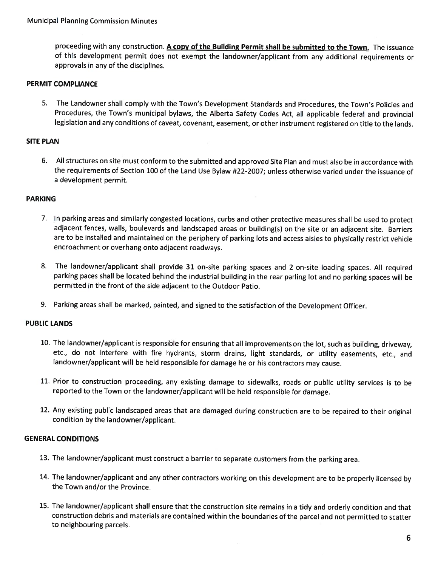proceeding with any construction. A copy of the Building Permit shall be submitted to the Town. The issuance of this development permit does not exemp<sup>t</sup> the landowner/applicant from any additional requirements or approvals in any of the disciplines.

## PERMIT COMPLIANCE

5. The Landowner shall comply with the Town's Development Standards and Procedures, the Town's Policies and Procedures, the Town's municipal bylaws, the Alberta Safety Codes Act, all applicable federal and provincial legislation and any conditions of caveat, covenant, easement, or other instrument registered on title to the lands.

#### SITE PLAN

6. All structures on site must conform to the submitted and approved Site Plan and must also be in accordance with the requirements of Section 100 of the Land Use Bylaw #22-2007; unless otherwise varied under the issuance of a development permit.

#### PARKING

- 7. In parking areas and similarly congested locations, curbs and other protective measures shall be used to protect adjacent fences, walls, boulevards and landscaped areas or building(s) on the site or an adjacent site. Barriers are to be installed and maintained on the periphery of parking lots and access aisles to <sup>p</sup>hysically restrict vehicle encroachment or overhang onto adjacent roadways.
- 8. The landowner/applicant shall provide 31 on-site parking spaces and 2 on-site loading spaces. All required parking paces shall be located behind the industrial building in the rear parling lot and no parking spaces will be permitted in the front of the side adjacent to the Outdoor Patio.
- 9. Parking areas shall be marked, painted, and signed to the satisfaction of the Development Officer.

#### PUBLIC LANDS

- 10. The landowner/applicant is responsible for ensuring that all improvements on the lot, such as building, driveway, etc., do not interfere with fire hydrants, storm drains, light standards, or utility easements, etc., and landowner/applicant will be held responsible for damage he or his contractors may cause.
- 11. Prior to construction proceeding, any existing damage to sidewalks, roads or public utility services is to be reported to the Town or the landowner/applicant will be held responsible for damage.
- 12. Any existing public landscaped areas that are damaged during construction are to be repaired to their original condition by the landowner/applicant.

## GENERAL CONDITIONS

- 13. The landowner/applicant must construct <sup>a</sup> barrier to separate customers from the parking area.
- 14. The landowner/applicant and any other contractors working on this development are to be properly licensed by the Town and/or the Province.
- 15. The landowner/applicant shall ensure that the construction site remains in a tidy and orderly condition and that construction debris and materials are contained within the boundaries of the parcel and not permitted to scatter to neighbouring parcels.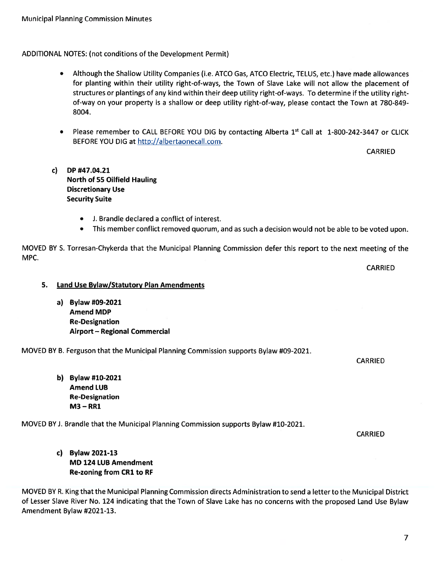## ADDITIONAL NOTES: (not conditions of the Development Permit)

- • Although the Shallow Utility Companies (i.e. ATCO Gas, ATCO Electric, TELUS, etc.) have made allowances for <sup>p</sup>lanting within their utility right-of-ways, the Town of Slave Lake will not allow the <sup>p</sup>lacement of structures or plantings of any kind within their deep utility right-of-ways. To determine if the utility rightof-way on your property is <sup>a</sup> shallow or deep utility right-of-way, please contact the Town at 780-849- 8004.
- Please remember to CALL BEFORE YOU DIG by contacting Alberta 1<sup>st</sup> Call at  $1$ -800-242-3447 or CLICK BEFORE YOU DIG at http://albertaonecall.com.

CARRIED

- c) DP #47.04.21 North of 55 Oilfield Hauling Discretionary Use Security Suite
	- J. Brandle declared <sup>a</sup> conflict of interest.
	- •This member conflict removed quorum, and as such <sup>a</sup> decision would not be able to be voted upon.

MOVED BY S. Torresan-Chykerda that the Municipal Planning Commission defer this repor<sup>t</sup> to the next meeting of the MPC.

CARRIED

- 5. Land Use Bylaw/Statutory Plan Amendments
	- a) Bylaw #09-2021 Amend MDP Re-Designation Airport — Regional Commercial

MOVED BY B. Ferguson that the Municipal Planning Commission supports Bylaw #09-2021.

CARRIED

b) Bylaw #10-2021 Amend LUB Re-Designation M3 — RR1

MOVED BY J. Brandle that the Municipal Planning Commission supports Bylaw #10-2021.

CARRIED

c) Bylaw 2021-13 MD 124 LUB Amendment Re-zoning from CR1 to RF

MOVED BY R. King that the Municipal Planning Commission directs Administration to send <sup>a</sup> letter to the Municipal District of Lesser Slave River No. <sup>124</sup> indicating that the Town of Slave Lake has no concerns with the propose<sup>d</sup> Land Use Bylaw Amendment Bylaw #2021-13.